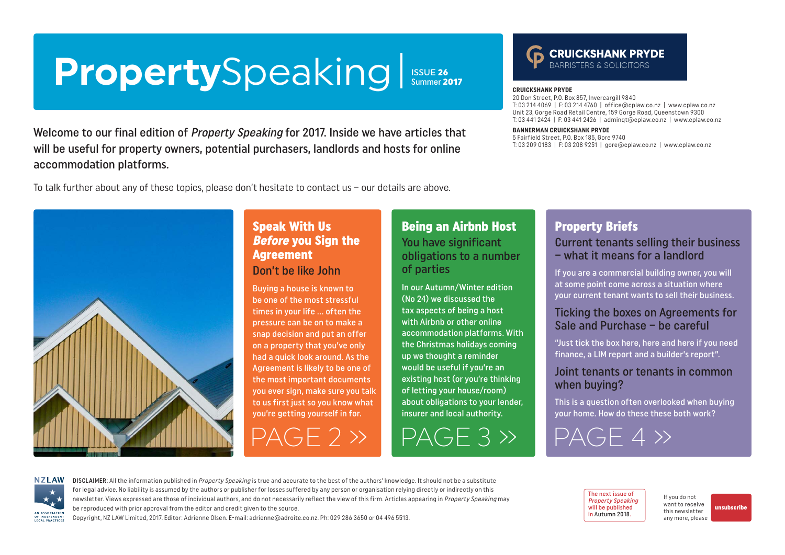# <span id="page-0-0"></span>**Property**Speaking

**ISSUE 26**<br>Summer 2017

Welcome to our final edition of Property Speaking for 2017. Inside we have articles that will be useful for property owners, potential purchasers, landlords and hosts for online accommodation platforms.

To talk further about any of these topics, please don't hesitate to contact us – our details are above.



### Speak With Us Before you Sign the Agreement

#### Don't be like John

Buying a house is known to be one of the most stressful times in your life … often the pressure can be on to make a snap decision and put an offer on a property that you've only had a quick look around. As the Agreement is likely to be one of the most important documents you ever sign, make sure you talk to us first just so you know what you're getting yourself in for.

### Being an Airbnb Host

You have significant obligations to a number of parties

In our Autumn/Winter edition (No 24) we discussed the tax aspects of being a host with Airbnb or other online accommodation platforms. With the Christmas holidays coming up we thought a reminder would be useful if you're an existing host (or you're thinking of letting your house/room) about obligations to your lender, insurer and local authority.

[PAGE 2 »](#page-1-0) [PAGE 3 »](#page-2-0) [PAGE 4 »](#page-3-0)

### Property Briefs

**CRUICKSHANK PRYDE**

20 Don Street, P.O. Box 857, Invercargill 9840

**BANNERMAN CRUICKSHANK PRYDE** 5 Fairfield Street, P.O. Box 185, Gore 9740

T: 03 214 4069 | F: 03 214 4760 | [office@cplaw.co.nz](mailto:office%40cplaw.co.nz?subject=) | www.cplaw.co.nz Unit 23, Gorge Road Retail Centre, 159 Gorge Road, Queenstown 9300 T: 03 441 2424 | F: 03 441 2426 | adminqt@cplaw.co.nz | www.cplaw.co.nz

**CRUICKSHANK PRYDE** 

T: 03 209 0183 | F: 03 208 9251 | gore@cplaw.co.nz | www.cplaw.co.nz

#### Current tenants selling their business – what it means for a landlord

If you are a commercial building owner, you will at some point come across a situation where your current tenant wants to sell their business.

#### Ticking the boxes on Agreements for Sale and Purchase – be careful

"Just tick the box here, here and here if you need finance, a LIM report and a builder's report".

#### Joint tenants or tenants in common when buying?

This is a question often overlooked when buying your home. How do these these both work?



DISCLAIMER: All the information published in Property Speaking is true and accurate to the best of the authors' knowledge. It should not be a substitute for legal advice. No liability is assumed by the authors or publisher for losses suffered by any person or organisation relying directly or indirectly on this newsletter. Views expressed are those of individual authors, and do not necessarily reflect the view of this firm. Articles appearing in Property Speaking may be reproduced with prior approval from the editor and credit given to the source.

Copyright, NZ LAW Limited, 2017. Editor: Adrienne Olsen. [E-mail: adrienne@adroite.co.nz.](mailto:adrienne@adroite.co.nz) Ph: 029 286 3650 or 04 496 5513.

#### The next issue of Property Speaking will be published in Autumn 2018.

If you do not want to receive this newsletter any more, please

[unsubscribe](mailto:adrienne%40adroite.co.nz?subject=Property%20Speaking%20-%20unsubscribe%20me%20please)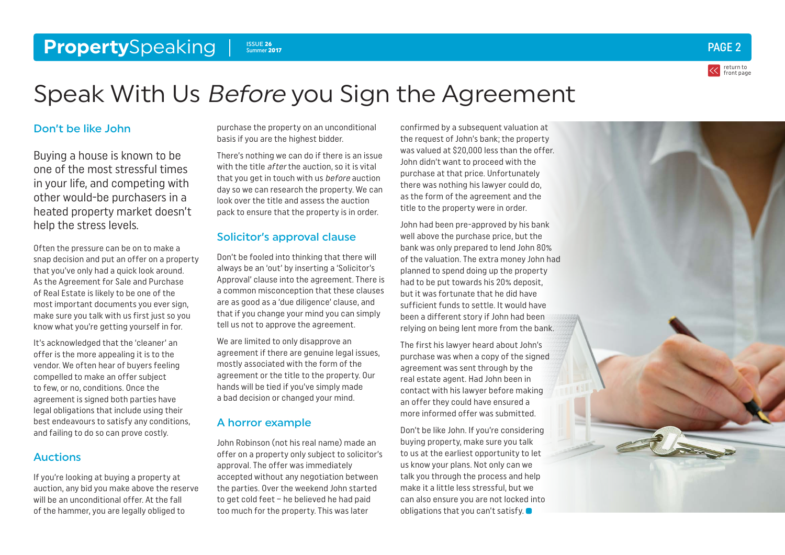#### <span id="page-1-0"></span>**Property**Speaking **Property**Speaking **PAGE 2** ISSUE 26 ISSUE 26<br>Summer 2017



# Speak With Us Before you Sign the Agreement

#### Don't be like John

Buying a house is known to be one of the most stressful times in your life, and competing with other would-be purchasers in a heated property market doesn't help the stress levels.

Often the pressure can be on to make a snap decision and put an offer on a property that you've only had a quick look around. As the Agreement for Sale and Purchase of Real Estate is likely to be one of the most important documents you ever sign, make sure you talk with us first just so you know what you're getting yourself in for.

It's acknowledged that the 'cleaner' an offer is the more appealing it is to the vendor. We often hear of buyers feeling compelled to make an offer subject to few, or no, conditions. Once the agreement is signed both parties have legal obligations that include using their best endeavours to satisfy any conditions, and failing to do so can prove costly.

#### Auctions

If you're looking at buying a property at auction, any bid you make above the reserve will be an unconditional offer. At the fall of the hammer, you are legally obliged to

purchase the property on an unconditional basis if you are the highest bidder.

There's nothing we can do if there is an issue with the title *after* the auction, so it is vital that you get in touch with us *before* auction day so we can research the property. We can look over the title and assess the auction pack to ensure that the property is in order.

#### Solicitor's approval clause

Don't be fooled into thinking that there will always be an 'out' by inserting a 'Solicitor's Approval' clause into the agreement. There is a common misconception that these clauses are as good as a 'due diligence' clause, and that if you change your mind you can simply tell us not to approve the agreement.

We are limited to only disapprove an agreement if there are genuine legal issues, mostly associated with the form of the agreement or the title to the property. Our hands will be tied if you've simply made a bad decision or changed your mind.

#### A horror example

John Robinson (not his real name) made an offer on a property only subject to solicitor's approval. The offer was immediately accepted without any negotiation between the parties. Over the weekend John started to get cold feet – he believed he had paid too much for the property. This was later

confirmed by a subsequent valuation at the request of John's bank; the property was valued at \$20,000 less than the offer. John didn't want to proceed with the purchase at that price. Unfortunately there was nothing his lawyer could do, as the form of the agreement and the title to the property were in order.

John had been pre-approved by his bank well above the purchase price, but the bank was only prepared to lend John 80% of the valuation. The extra money John had planned to spend doing up the property had to be put towards his 20% deposit, but it was fortunate that he did have sufficient funds to settle. It would have been a different story if John had been relying on being lent more from the bank.

The first his lawyer heard about John's purchase was when a copy of the signed agreement was sent through by the real estate agent. Had John been in contact with his lawyer before making an offer they could have ensured a more informed offer was submitted.

Don't be like John. If you're considering buying property, make sure you talk to us at the earliest opportunity to let us know your plans. Not only can we talk you through the process and help make it a little less stressful, but we can also ensure you are not locked into obligations that you can't satisfy.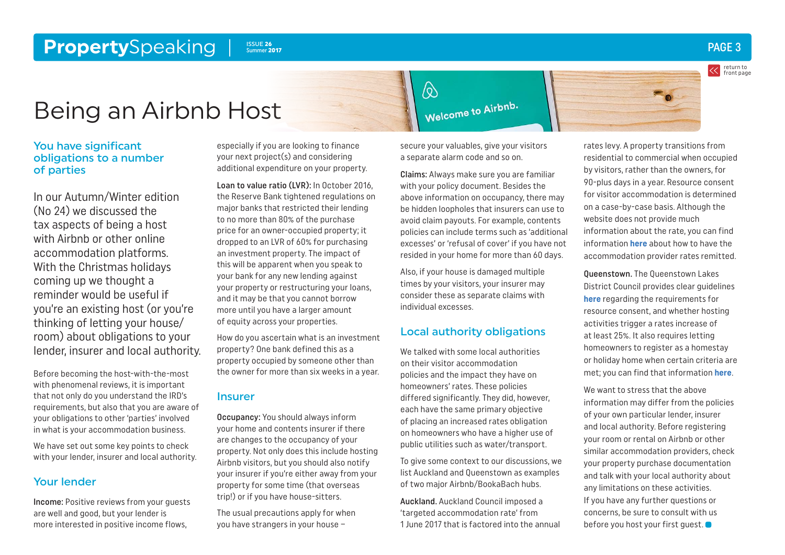#### <span id="page-2-0"></span>**Property**Speaking Issue 26 Summer 2017

return to [front page](#page-0-0)

## Being an Airbnb Host

#### You have significant obligations to a number of parties

In our Autumn/Winter edition (No 24) we discussed the tax aspects of being a host with Airbnb or other online accommodation platforms. With the Christmas holidays coming up we thought a reminder would be useful if you're an existing host (or you're thinking of letting your house/ room) about obligations to your lender, insurer and local authority.

Before becoming the host-with-the-most with phenomenal reviews, it is important that not only do you understand the IRD's requirements, but also that you are aware of your obligations to other 'parties' involved in what is your accommodation business.

We have set out some key points to check with your lender, insurer and local authority.

#### Your lender

Income: Positive reviews from your guests are well and good, but your lender is more interested in positive income flows,

especially if you are looking to finance your next project(s) and considering additional expenditure on your property.

Loan to value ratio (LVR): In October 2016, the Reserve Bank tightened regulations on major banks that restricted their lending to no more than 80% of the purchase price for an owner-occupied property; it dropped to an LVR of 60% for purchasing an investment property. The impact of this will be apparent when you speak to your bank for any new lending against your property or restructuring your loans, and it may be that you cannot borrow more until you have a larger amount of equity across your properties.

How do you ascertain what is an investment property? One bank defined this as a property occupied by someone other than the owner for more than six weeks in a year.

#### Insurer

Occupancy: You should always inform your home and contents insurer if there are changes to the occupancy of your property. Not only does this include hosting Airbnb visitors, but you should also notify your insurer if you're either away from your property for some time (that overseas trip!) or if you have house-sitters.

The usual precautions apply for when you have strangers in your house –

secure your valuables, give your visitors a separate alarm code and so on.

 $\bigotimes$ 

Claims: Always make sure you are familiar with your policy document. Besides the above information on occupancy, there may be hidden loopholes that insurers can use to avoid claim payouts. For example, contents policies can include terms such as 'additional excesses' or 'refusal of cover' if you have not resided in your home for more than 60 days.

Also, if your house is damaged multiple times by your visitors, your insurer may consider these as separate claims with individual excesses.

#### Local authority obligations

We talked with some local authorities on their visitor accommodation policies and the impact they have on homeowners' rates. These policies differed significantly. They did, however, each have the same primary objective of placing an increased rates obligation on homeowners who have a higher use of public utilities such as water/transport.

To give some context to our discussions, we list Auckland and Queenstown as examples of two major Airbnb/BookaBach hubs.

Auckland. Auckland Council imposed a 'targeted accommodation rate' from 1 June 2017 that is factored into the annual rates levy. A property transitions from residential to commercial when occupied by visitors, rather than the owners, for 90-plus days in a year. Resource consent for visitor accommodation is determined on a case-by-case basis. Although the website does not provide much information about the rate, you can find information **[here](https://www.aucklandcouncil.govt.nz/property-rates-valuations/help-low-income-households-community-groups/Pages/remission-rates-miscellaneous-purposes.aspx)** about how to have the accommodation provider rates remitted.

Queenstown. The Queenstown Lakes District Council provides clear guidelines **[here](http://www.qldc.govt.nz/services/rates/short-term-accommodation/)** regarding the requirements for resource consent, and whether hosting activities trigger a rates increase of at least 25%. It also requires letting homeowners to register as a homestay or holiday home when certain criteria are met; you can find that information **[here](http://www.qldc.govt.nz/assets/Uploads/Services/Rates/QLDC-Guide-to-Short-Term-Accommodation.pdf)**.

We want to stress that the above information may differ from the policies of your own particular lender, insurer and local authority. Before registering your room or rental on Airbnb or other similar accommodation providers, check your property purchase documentation and talk with your local authority about any limitations on these activities. If you have any further questions or concerns, be sure to consult with us before you host your first quest.

Welcome to Airbnb.